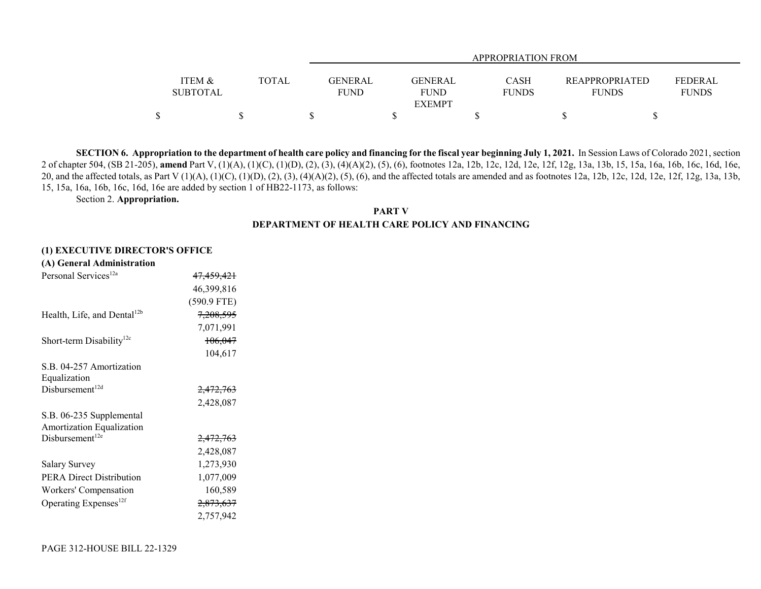|                 |              | <b>APPROPRIATION FROM</b> |               |              |                       |              |  |  |  |  |  |
|-----------------|--------------|---------------------------|---------------|--------------|-----------------------|--------------|--|--|--|--|--|
|                 |              |                           |               |              |                       |              |  |  |  |  |  |
| ITEM &          | <b>TOTAL</b> | <b>GENERAL</b>            | GENERAL       | CASH         | <b>REAPPROPRIATED</b> | FEDERAL      |  |  |  |  |  |
| <b>SUBTOTAL</b> |              | <b>FUND</b>               | <b>FUND</b>   | <b>FUNDS</b> | <b>FUNDS</b>          | <b>FUNDS</b> |  |  |  |  |  |
|                 |              |                           | <b>EXEMPT</b> |              |                       |              |  |  |  |  |  |
| ¢               |              |                           |               |              |                       |              |  |  |  |  |  |

**SECTION 6. Appropriation to the department of health care policy and financing for the fiscal year beginning July 1, 2021.** In Session Laws of Colorado 2021, section 2 of chapter 504, (SB 21-205), **amend** Part V, (1)(A), (1)(C), (1)(D), (2), (3), (4)(A)(2), (5), (6), footnotes 12a, 12b, 12c, 12d, 12e, 12f, 12g, 13a, 13b, 15, 15a, 16a, 16b, 16c, 16d, 16e, 20, and the affected totals, as Part V (1)(A), (1)(C), (1)(D), (2), (3), (4)(A)(2), (5), (6), and the affected totals are amended and as footnotes 12a, 12b, 12c, 12d, 12e, 12f, 12g, 13a, 13b, 15, 15a, 16a, 16b, 16c, 16d, 16e are added by section 1 of HB22-1173, as follows:

Section 2. **Appropriation.**

**PART VDEPARTMENT OF HEALTH CARE POLICY AND FINANCING**

#### **(1) EXECUTIVE DIRECTOR'S OFFICE**

| (A) General Administration              |                       |
|-----------------------------------------|-----------------------|
| Personal Services <sup>12a</sup>        | <del>47,459,421</del> |
|                                         | 46,399,816            |
|                                         | (590.9 FTE)           |
| Health, Life, and Dental <sup>12b</sup> | <del>7,208,595</del>  |
|                                         | 7,071,991             |
| Short-term Disability <sup>12c</sup>    | 106,047               |
|                                         | 104,617               |
| S.B. 04-257 Amortization                |                       |
| Equalization                            |                       |
| Disbursement <sup>12d</sup>             | <del>2,472,763</del>  |
|                                         | 2,428,087             |
| S.B. 06-235 Supplemental                |                       |
| Amortization Equalization               |                       |
| Disbursement <sup>12e</sup>             | 2,472,763             |
|                                         | 2,428,087             |
| Salary Survey                           | 1,273,930             |
| <b>PERA Direct Distribution</b>         | 1,077,009             |
| Workers' Compensation                   | 160,589               |
| Operating Expenses <sup>12f</sup>       | <del>2,873,637</del>  |
|                                         | 2.757.942             |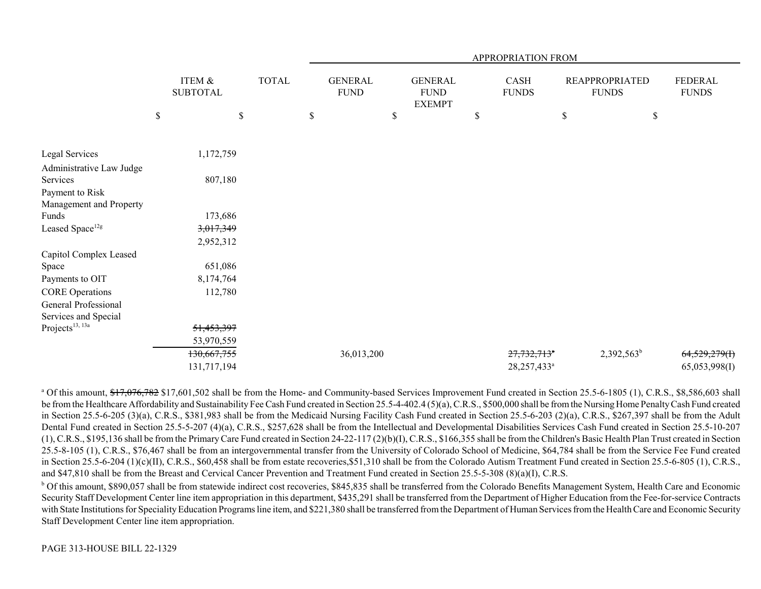|                                            |              |                           |      |              |                               |                                                 | APPROPRIATION FROM          |      |                                       |                         |
|--------------------------------------------|--------------|---------------------------|------|--------------|-------------------------------|-------------------------------------------------|-----------------------------|------|---------------------------------------|-------------------------|
|                                            |              | ITEM &<br><b>SUBTOTAL</b> |      | <b>TOTAL</b> | <b>GENERAL</b><br><b>FUND</b> | <b>GENERAL</b><br>${\rm FUND}$<br><b>EXEMPT</b> | <b>CASH</b><br><b>FUNDS</b> |      | <b>REAPPROPRIATED</b><br><b>FUNDS</b> | FEDERAL<br><b>FUNDS</b> |
|                                            | $\mathbb{S}$ |                           | $\$$ |              | \$                            | \$                                              | \$                          | $\$$ | \$                                    |                         |
| Legal Services                             |              | 1,172,759                 |      |              |                               |                                                 |                             |      |                                       |                         |
| Administrative Law Judge<br>Services       |              | 807,180                   |      |              |                               |                                                 |                             |      |                                       |                         |
| Payment to Risk<br>Management and Property |              |                           |      |              |                               |                                                 |                             |      |                                       |                         |
| Funds                                      |              | 173,686                   |      |              |                               |                                                 |                             |      |                                       |                         |
| Leased Space <sup>12g</sup>                |              | 3,017,349                 |      |              |                               |                                                 |                             |      |                                       |                         |
|                                            |              | 2,952,312                 |      |              |                               |                                                 |                             |      |                                       |                         |
| Capitol Complex Leased                     |              |                           |      |              |                               |                                                 |                             |      |                                       |                         |
| Space                                      |              | 651,086                   |      |              |                               |                                                 |                             |      |                                       |                         |
| Payments to OIT                            |              | 8,174,764                 |      |              |                               |                                                 |                             |      |                                       |                         |
| <b>CORE Operations</b>                     |              | 112,780                   |      |              |                               |                                                 |                             |      |                                       |                         |
| General Professional                       |              |                           |      |              |                               |                                                 |                             |      |                                       |                         |
| Services and Special                       |              |                           |      |              |                               |                                                 |                             |      |                                       |                         |
| Projects <sup>13, 13a</sup>                |              | 51,453,397                |      |              |                               |                                                 |                             |      |                                       |                         |
|                                            |              | 53,970,559                |      |              |                               |                                                 |                             |      |                                       |                         |
|                                            |              | 130,667,755               |      |              | 36,013,200                    |                                                 | $27,732,713$ <sup>a</sup>   |      | $2,392,563^b$                         | $64,529,279$ (H)        |
|                                            |              | 131,717,194               |      |              |                               |                                                 | 28,257,433 <sup>a</sup>     |      |                                       | 65,053,998(I)           |

<sup>a</sup> Of this amount, \$17,076,782 \$17,601,502 shall be from the Home- and Community-based Services Improvement Fund created in Section 25.5-6-1805 (1), C.R.S., \$8,586,603 shall be from the Healthcare Affordability and Sustainability Fee Cash Fund created in Section 25.5-4-402.4 (5)(a), C.R.S., \$500,000 shall be from the Nursing Home Penalty Cash Fund created in Section 25.5-6-205 (3)(a), C.R.S., \$381,983 shall be from the Medicaid Nursing Facility Cash Fund created in Section 25.5-6-203 (2)(a), C.R.S., \$267,397 shall be from the Adult Dental Fund created in Section 25.5-5-207 (4)(a), C.R.S., \$257,628 shall be from the Intellectual and Developmental Disabilities Services Cash Fund created in Section 25.5-10-207 (1), C.R.S., \$195,136 shall be from the Primary Care Fund created in Section 24-22-117 (2)(b)(I), C.R.S., \$166,355 shall be from the Children's Basic Health Plan Trust created in Section 25.5-8-105 (1), C.R.S., \$76,467 shall be from an intergovernmental transfer from the University of Colorado School of Medicine, \$64,784 shall be from the Service Fee Fund created in Section 25.5-6-204 (1)(c)(II), C.R.S., \$60,458 shall be from estate recoveries,\$51,310 shall be from the Colorado Autism Treatment Fund created in Section 25.5-6-805 (1), C.R.S., and \$47,810 shall be from the Breast and Cervical Cancer Prevention and Treatment Fund created in Section 25.5-5-308 (8)(a)(I), C.R.S.

b Of this amount, \$890,057 shall be from statewide indirect cost recoveries, \$845,835 shall be transferred from the Colorado Benefits Management System, Health Care and Economic Security Staff Development Center line item appropriation in this department, \$435,291 shall be transferred from the Department of Higher Education from the Fee-for-service Contracts with State Institutions for Speciality Education Programs line item, and \$221,380 shall be transferred from the Department of Human Services from the Health Care and Economic Security Staff Development Center line item appropriation.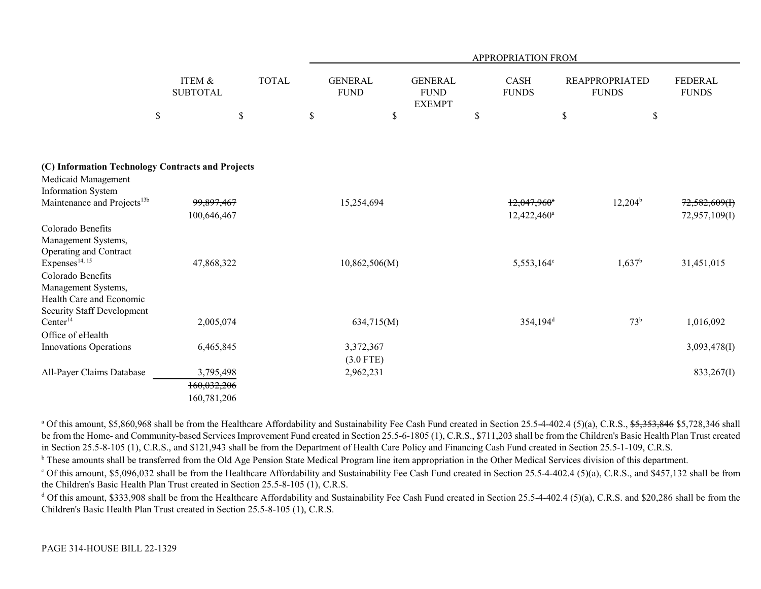|                                                                                                                                  |                                         |                    |                                     |                                                      | <b>APPROPRIATION FROM</b>        |                                             |                                        |
|----------------------------------------------------------------------------------------------------------------------------------|-----------------------------------------|--------------------|-------------------------------------|------------------------------------------------------|----------------------------------|---------------------------------------------|----------------------------------------|
| \$                                                                                                                               | ITEM &<br><b>SUBTOTAL</b>               | <b>TOTAL</b><br>\$ | <b>GENERAL</b><br><b>FUND</b><br>\$ | <b>GENERAL</b><br><b>FUND</b><br><b>EXEMPT</b><br>\$ | CASH<br><b>FUNDS</b><br>$\$$     | <b>REAPPROPRIATED</b><br><b>FUNDS</b><br>\$ | <b>FEDERAL</b><br><b>FUNDS</b><br>$\$$ |
| (C) Information Technology Contracts and Projects                                                                                |                                         |                    |                                     |                                                      |                                  |                                             |                                        |
| Medicaid Management<br><b>Information System</b><br>Maintenance and Projects <sup>13b</sup>                                      | 99,897,467<br>100,646,467               |                    | 15,254,694                          |                                                      | $12,047,960$ *<br>$12,422,460^a$ | $12,204^{\rm b}$                            | 72,582,609(f)<br>72,957,109(I)         |
| Colorado Benefits<br>Management Systems,<br>Operating and Contract                                                               |                                         |                    |                                     |                                                      |                                  |                                             |                                        |
| Expenses <sup>14, 15</sup><br>Colorado Benefits<br>Management Systems,<br>Health Care and Economic<br>Security Staff Development | 47,868,322                              |                    | 10,862,506(M)                       |                                                      | 5,553,164°                       | $1,637^b$                                   | 31,451,015                             |
| Center <sup>14</sup><br>Office of eHealth                                                                                        | 2,005,074                               |                    | 634,715(M)                          |                                                      | 354,194 <sup>d</sup>             | 73 <sup>b</sup>                             | 1,016,092                              |
| <b>Innovations Operations</b>                                                                                                    | 6,465,845                               |                    | 3,372,367<br>$(3.0$ FTE)            |                                                      |                                  |                                             | 3,093,478(I)                           |
| All-Payer Claims Database                                                                                                        | 3,795,498<br>160,032,206<br>160,781,206 |                    | 2,962,231                           |                                                      |                                  |                                             | 833,267(I)                             |

<sup>a</sup> Of this amount, \$5,860,968 shall be from the Healthcare Affordability and Sustainability Fee Cash Fund created in Section 25.5-4-402.4 (5)(a), C.R.S., \$5,353,846 \$5,728,346 shall be from the Home- and Community-based Services Improvement Fund created in Section 25.5-6-1805 (1), C.R.S., \$711,203 shall be from the Children's Basic Health Plan Trust created in Section 25.5-8-105 (1), C.R.S., and \$121,943 shall be from the Department of Health Care Policy and Financing Cash Fund created in Section 25.5-1-109, C.R.S.

<sup>b</sup> These amounts shall be transferred from the Old Age Pension State Medical Program line item appropriation in the Other Medical Services division of this department.

<sup>c</sup> Of this amount, \$5,096,032 shall be from the Healthcare Affordability and Sustainability Fee Cash Fund created in Section 25.5-4-402.4 (5)(a), C.R.S., and \$457,132 shall be from the Children's Basic Health Plan Trust created in Section 25.5-8-105 (1), C.R.S.

<sup>d</sup> Of this amount, \$333,908 shall be from the Healthcare Affordability and Sustainability Fee Cash Fund created in Section 25.5-4-402.4 (5)(a), C.R.S. and \$20,286 shall be from the Children's Basic Health Plan Trust created in Section 25.5-8-105 (1), C.R.S.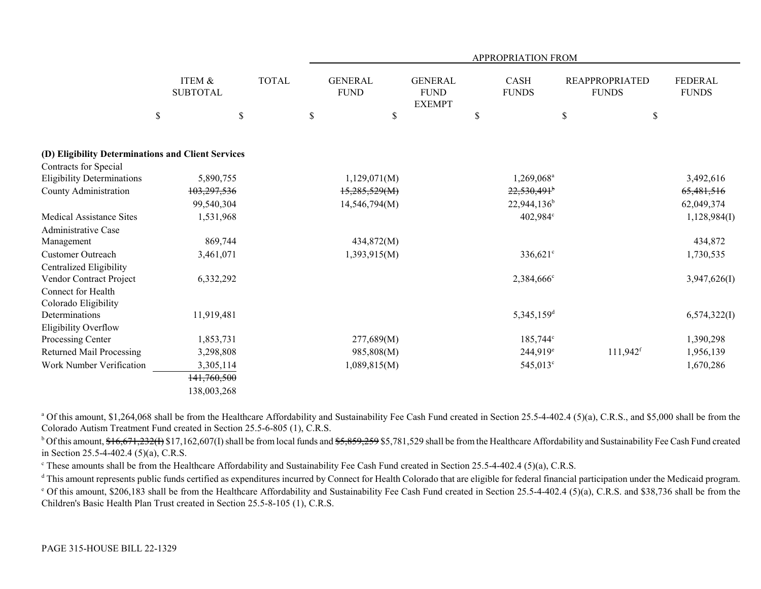|                                                    |                                       |              | <b>APPROPRIATION FROM</b>                 |                                                |                                   |                                             |                                 |  |  |  |  |
|----------------------------------------------------|---------------------------------------|--------------|-------------------------------------------|------------------------------------------------|-----------------------------------|---------------------------------------------|---------------------------------|--|--|--|--|
|                                                    | ITEM &<br><b>SUBTOTAL</b><br>\$<br>\$ | <b>TOTAL</b> | <b>GENERAL</b><br><b>FUND</b><br>\$<br>\$ | <b>GENERAL</b><br><b>FUND</b><br><b>EXEMPT</b> | <b>CASH</b><br><b>FUNDS</b><br>\$ | <b>REAPPROPRIATED</b><br><b>FUNDS</b><br>\$ | FEDERAL<br><b>FUNDS</b><br>$\$$ |  |  |  |  |
| (D) Eligibility Determinations and Client Services |                                       |              |                                           |                                                |                                   |                                             |                                 |  |  |  |  |
| Contracts for Special                              |                                       |              |                                           |                                                |                                   |                                             |                                 |  |  |  |  |
| <b>Eligibility Determinations</b>                  | 5,890,755                             |              | 1,129,071(M)                              |                                                | 1,269,068 <sup>a</sup>            |                                             | 3,492,616                       |  |  |  |  |
| County Administration                              | 103,297,536                           |              | 15,285,529(M)                             |                                                | $22,530,491$ <sup>b</sup>         |                                             | 65,481,516                      |  |  |  |  |
|                                                    | 99,540,304                            |              | 14,546,794(M)                             |                                                | $22,944,136^b$                    |                                             | 62,049,374                      |  |  |  |  |
| <b>Medical Assistance Sites</b>                    | 1,531,968                             |              |                                           |                                                | 402,984°                          |                                             | 1,128,984(I)                    |  |  |  |  |
| Administrative Case                                |                                       |              |                                           |                                                |                                   |                                             |                                 |  |  |  |  |
| Management                                         | 869,744                               |              | 434,872(M)                                |                                                |                                   |                                             | 434,872                         |  |  |  |  |
| <b>Customer Outreach</b>                           | 3,461,071                             |              | 1,393,915(M)                              |                                                | $336,621$ °                       |                                             | 1,730,535                       |  |  |  |  |
| Centralized Eligibility                            |                                       |              |                                           |                                                |                                   |                                             |                                 |  |  |  |  |
| Vendor Contract Project                            | 6,332,292                             |              |                                           |                                                | 2,384,666 <sup>c</sup>            |                                             | 3,947,626(I)                    |  |  |  |  |
| Connect for Health                                 |                                       |              |                                           |                                                |                                   |                                             |                                 |  |  |  |  |
| Colorado Eligibility                               |                                       |              |                                           |                                                |                                   |                                             |                                 |  |  |  |  |
| Determinations                                     | 11,919,481                            |              |                                           |                                                | $5,345,159$ <sup>d</sup>          |                                             | 6,574,322(I)                    |  |  |  |  |
| Eligibility Overflow                               |                                       |              |                                           |                                                |                                   |                                             |                                 |  |  |  |  |
| Processing Center                                  | 1,853,731                             |              | 277,689(M)                                |                                                | $185,744^{\circ}$                 |                                             | 1,390,298                       |  |  |  |  |
| Returned Mail Processing                           | 3,298,808                             |              | 985,808(M)                                |                                                | $244,919^e$                       | $111,942$ <sup>f</sup>                      | 1,956,139                       |  |  |  |  |
| Work Number Verification                           | 3,305,114                             |              | 1,089,815(M)                              |                                                | 545,013 <sup>c</sup>              |                                             | 1,670,286                       |  |  |  |  |
|                                                    | 141,760,500                           |              |                                           |                                                |                                   |                                             |                                 |  |  |  |  |
|                                                    | 138,003,268                           |              |                                           |                                                |                                   |                                             |                                 |  |  |  |  |

<sup>a</sup> Of this amount, \$1,264,068 shall be from the Healthcare Affordability and Sustainability Fee Cash Fund created in Section 25.5-4-402.4 (5)(a), C.R.S., and \$5,000 shall be from the Colorado Autism Treatment Fund created in Section 25.5-6-805 (1), C.R.S.

<sup>b</sup> Of this amount,  $$16,671,232(f)$  \$17,162,607(I) shall be from local funds and  $$5,859,259$  \$5,781,529 shall be from the Healthcare Affordability and Sustainability Fee Cash Fund created in Section 25.5-4-402.4 (5)(a), C.R.S.

<sup>c</sup> These amounts shall be from the Healthcare Affordability and Sustainability Fee Cash Fund created in Section 25.5-4-402.4 (5)(a), C.R.S.

<sup>d</sup> This amount represents public funds certified as expenditures incurred by Connect for Health Colorado that are eligible for federal financial participation under the Medicaid program.

<sup>e</sup> Of this amount, \$206,183 shall be from the Healthcare Affordability and Sustainability Fee Cash Fund created in Section 25.5-4-402.4 (5)(a), C.R.S. and \$38,736 shall be from the Children's Basic Health Plan Trust created in Section 25.5-8-105 (1), C.R.S.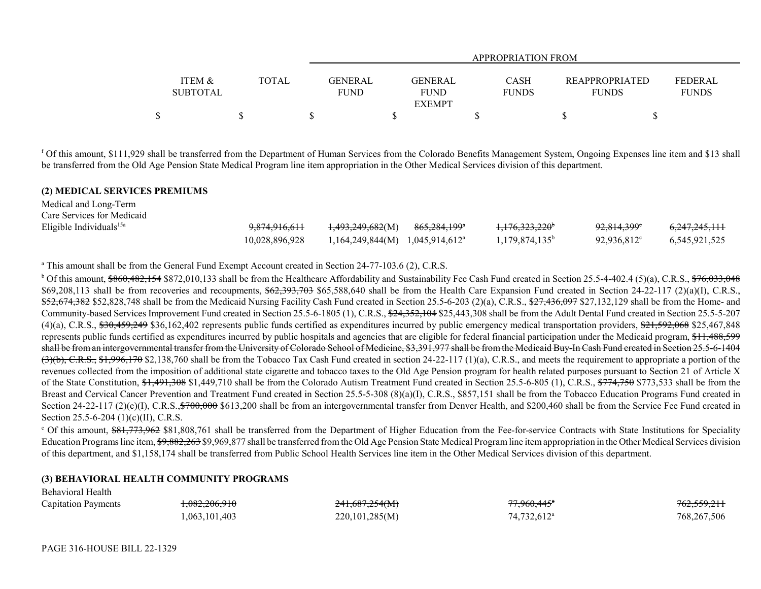|                   |              | APPROPRIATION FROM |                |              |                       |              |
|-------------------|--------------|--------------------|----------------|--------------|-----------------------|--------------|
| <b>ITEM &amp;</b> | <b>TOTAL</b> | <b>GENERAL</b>     | <b>GENERAL</b> | CASH         | <b>REAPPROPRIATED</b> | FEDERAL      |
| <b>SUBTOTAL</b>   |              | <b>FUND</b>        | FUND           | <b>FUNDS</b> | <b>FUNDS</b>          | <b>FUNDS</b> |
|                   |              |                    | <b>EXEMPT</b>  |              |                       |              |
| ¢                 |              |                    |                |              |                       |              |

f Of this amount, \$111,929 shall be transferred from the Department of Human Services from the Colorado Benefits Management System, Ongoing Expenses line item and \$13 shall be transferred from the Old Age Pension State Medical Program line item appropriation in the Other Medical Services division of this department.

### **(2) MEDICAL SERVICES PREMIUMS**

| Medical and Long-Term      |                |                                            |                         |                            |                        |                          |
|----------------------------|----------------|--------------------------------------------|-------------------------|----------------------------|------------------------|--------------------------|
| Care Services for Medicaid |                |                                            |                         |                            |                        |                          |
| Eligible Individuals $15a$ | 9,874,916,611  | <del>1,493,249,682</del> (M)               | <del>865,284,199*</del> | <del>1,176,323,220</del> * | <del>92,814,399°</del> | <del>6,247,245,111</del> |
|                            | 10.028.896.928 | $1,164,249,844(M)$ $1,045,914,612^{\circ}$ |                         | $1,179,874,135^{\circ}$    | $92.936.812^{\circ}$   | 6.545.921.525            |

<sup>a</sup> This amount shall be from the General Fund Exempt Account created in Section 24-77-103.6 (2), C.R.S.

<sup>b</sup> Of this amount,  $$860,482,154 $872,010,133$  shall be from the Healthcare Affordability and Sustainability Fee Cash Fund created in Section 25.5-4-402.4 (5)(a), C.R.S.,  $$76,033,048$ \$69,208,113 shall be from recoveries and recoupments,  $\frac{62,393,703}{65,588,640}$  shall be from the Health Care Expansion Fund created in Section 24-22-117 (2)(a)(I), C.R.S., \$52,674,382 \$52,828,748 shall be from the Medicaid Nursing Facility Cash Fund created in Section 25.5-6-203 (2)(a), C.R.S., \$27,436,097 \$27,132,129 shall be from the Home- and Community-based Services Improvement Fund created in Section 25.5-6-1805 (1), C.R.S., \$24,352,104 \$25,443,308 shall be from the Adult Dental Fund created in Section 25.5-5-207  $(4)(a)$ , C.R.S.,  $$30,459,249$  \$36,162,402 represents public funds certified as expenditures incurred by public emergency medical transportation providers,  $$21,592,068$  \$25,467,848 represents public funds certified as expenditures incurred by public hospitals and agencies that are eligible for federal financial participation under the Medicaid program, \$11,488,599 shall be from an intergovernmental transfer from the University of Colorado School of Medicine, \$3,391,977 shall be from the Medicaid Buy-In Cash Fund created in Section 25.5-6-1404  $(3)(b)$ , C.R.S., \$1,996,170 \$2,138,760 shall be from the Tobacco Tax Cash Fund created in section 24-22-117 (1)(a), C.R.S., and meets the requirement to appropriate a portion of the revenues collected from the imposition of additional state cigarette and tobacco taxes to the Old Age Pension program for health related purposes pursuant to Section 21 of Article X of the State Constitution, \$1,491,308 \$1,449,710 shall be from the Colorado Autism Treatment Fund created in Section 25.5-6-805 (1), C.R.S., \$774,750 \$773,533 shall be from the Breast and Cervical Cancer Prevention and Treatment Fund created in Section 25.5-5-308 (8)(a)(I), C.R.S., \$857,151 shall be from the Tobacco Education Programs Fund created in Section 24-22-117 (2)(c)(I), C.R.S., $$700,000$  \$613,200 shall be from an intergovernmental transfer from Denver Health, and \$200,460 shall be from the Service Fee Fund created in Section 25.5-6-204 (1)(c)(II), C.R.S.

<sup>c</sup> Of this amount, \$81,773,962 \$81,808,761 shall be transferred from the Department of Higher Education from the Fee-for-service Contracts with State Institutions for Speciality Education Programs line item, \$9,882,263 \$9,969,877 shall be transferred from the Old Age Pension State Medical Program line item appropriation in the Other Medical Services division of this department, and \$1,158,174 shall be transferred from Public School Health Services line item in the Other Medical Services division of this department.

# **(3) BEHAVIORAL HEALTH COMMUNITY PROGRAMS**

| ------------------------   |                          |                |                         |                        |
|----------------------------|--------------------------|----------------|-------------------------|------------------------|
| <b>Capitation Payments</b> | <del>1,082,206,910</del> | 241,687,254(M) | 77,960,445 <sup>*</sup> | <del>762,559,211</del> |
|                            | ,063,101,403             | 220,101,285(M) | 74.732.612 <sup>a</sup> | 768,267,506            |

Behavioral Health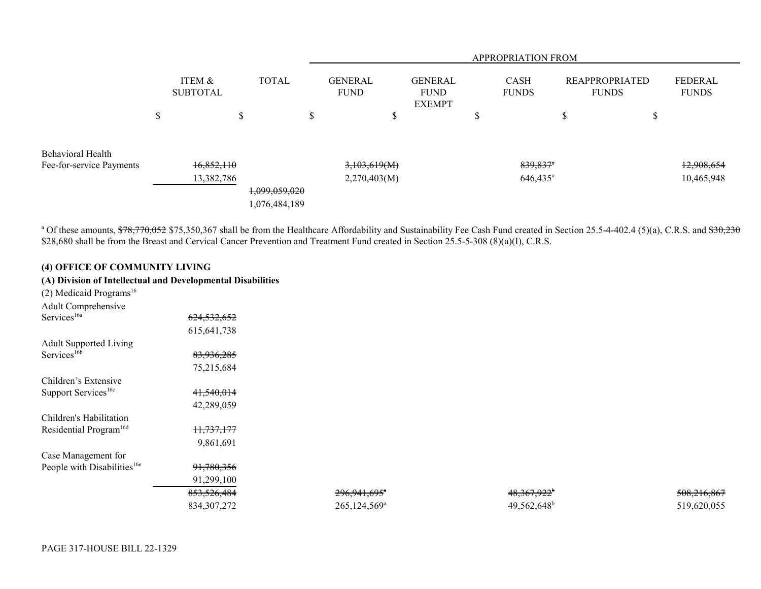|                                               |        |                           |              |                                |                               | <b>APPROPRIATION FROM</b> |   |                                                |                             |                   |                                       |   |                                |
|-----------------------------------------------|--------|---------------------------|--------------|--------------------------------|-------------------------------|---------------------------|---|------------------------------------------------|-----------------------------|-------------------|---------------------------------------|---|--------------------------------|
|                                               |        | ITEM &<br><b>SUBTOTAL</b> | <b>TOTAL</b> |                                | <b>GENERAL</b><br><b>FUND</b> |                           |   | <b>GENERAL</b><br><b>FUND</b><br><b>EXEMPT</b> | <b>CASH</b><br><b>FUNDS</b> |                   | <b>REAPPROPRIATED</b><br><b>FUNDS</b> |   | <b>FEDERAL</b><br><b>FUNDS</b> |
|                                               | ¢<br>D |                           | Φ            |                                | D                             |                           | D |                                                | Φ                           |                   | ۰D                                    | Φ |                                |
| Behavioral Health<br>Fee-for-service Payments |        | 16,852,110                |              |                                |                               | 3,103,619(M)              |   |                                                |                             | 839,837*          |                                       |   | 12,908,654                     |
|                                               |        | 13,382,786                |              | 1,099,059,020<br>1,076,484,189 |                               | 2,270,403(M)              |   |                                                |                             | $646,435^{\circ}$ |                                       |   | 10,465,948                     |

<sup>a</sup> Of these amounts, \$78,770,052 \$75,350,367 shall be from the Healthcare Affordability and Sustainability Fee Cash Fund created in Section 25.5-4-402.4 (5)(a), C.R.S. and \$30,230 \$28,680 shall be from the Breast and Cervical Cancer Prevention and Treatment Fund created in Section 25.5-5-308 (8)(a)(I), C.R.S.

# **(4) OFFICE OF COMMUNITY LIVING**

# **(A) Division of Intellectual and Developmental Disabilities**

| $(2)$ Medicaid Programs <sup>16</sup>   |                        |
|-----------------------------------------|------------------------|
| Adult Comprehensive                     |                        |
| Services <sup>16a</sup>                 | <del>624,532,652</del> |
|                                         | 615,641,738            |
| <b>Adult Supported Living</b>           |                        |
| Services <sup>16b</sup>                 | <del>83,936,285</del>  |
|                                         | 75,215,684             |
| Children's Extensive                    |                        |
| Support Services <sup>16c</sup>         | <del>41,540,014</del>  |
|                                         | 42,289,059             |
| Children's Habilitation                 |                        |
| Residential Program <sup>16d</sup>      | <del>11,737,177</del>  |
|                                         | 9,861,691              |
| Case Management for                     |                        |
| People with Disabilities <sup>16e</sup> | <del>91,780,356</del>  |
|                                         | 91,299,100             |
|                                         | <del>853,526,484</del> |
|                                         | 834 307 272            |

853,526,484 296,941,695a 48,367,922<sup>b</sup> 508,216,867  $834,307,272$  265,124,569<sup>a</sup> 49,562,648<sup>b</sup> 519,620,055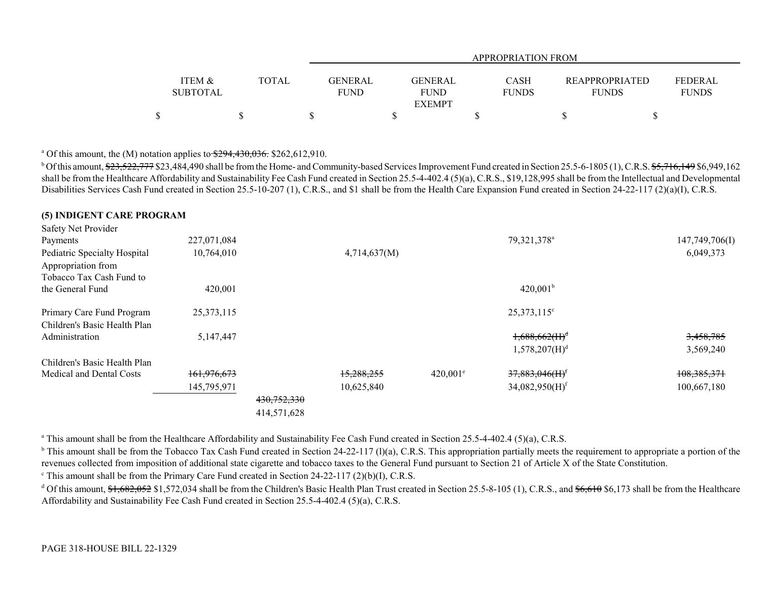|                 |              |             | APPROPRIATION FROM |              |                       |                |  |  |  |  |  |
|-----------------|--------------|-------------|--------------------|--------------|-----------------------|----------------|--|--|--|--|--|
| ITEM &          | <b>TOTAL</b> | GENERAL     | <b>GENERAL</b>     | <b>CASH</b>  | <b>REAPPROPRIATED</b> | <b>FEDERAL</b> |  |  |  |  |  |
| <b>SUBTOTAL</b> |              | <b>FUND</b> | <b>FUND</b>        | <b>FUNDS</b> | <b>FUNDS</b>          | <b>FUNDS</b>   |  |  |  |  |  |
|                 |              |             | <b>EXEMPT</b>      |              |                       |                |  |  |  |  |  |
|                 |              |             |                    |              |                       |                |  |  |  |  |  |

<sup>a</sup> Of this amount, the  $(M)$  notation applies to  $\frac{$294,430,036}{294,430,036}$ . \$262,612,910.

<sup>b</sup> Of this amount, \$23,522,777 \$23,484,490 shall be from the Home- and Community-based Services Improvement Fund created in Section 25.5-6-1805 (1), C.R.S. \$5,716,149 \$6,949,162 shall be from the Healthcare Affordability and Sustainability Fee Cash Fund created in Section 25.5-4-402.4 (5)(a), C.R.S., \$19,128,995 shall be from the Intellectual and Developmental Disabilities Services Cash Fund created in Section 25.5-10-207 (1), C.R.S., and \$1 shall be from the Health Care Expansion Fund created in Section 24-22-117 (2)(a)(I), C.R.S.

### **(5) INDIGENT CARE PROGRAM**

| Safety Net Provider          |              |             |              |                        |                              |                |
|------------------------------|--------------|-------------|--------------|------------------------|------------------------------|----------------|
| Payments                     | 227,071,084  |             |              |                        | 79,321,378 <sup>a</sup>      | 147,749,706(I) |
| Pediatric Specialty Hospital | 10,764,010   |             | 4,714,637(M) |                        |                              | 6,049,373      |
| Appropriation from           |              |             |              |                        |                              |                |
| Tobacco Tax Cash Fund to     |              |             |              |                        |                              |                |
| the General Fund             | 420,001      |             |              |                        | 420,001 <sup>b</sup>         |                |
| Primary Care Fund Program    | 25, 373, 115 |             |              |                        | 25,373,115 <sup>c</sup>      |                |
| Children's Basic Health Plan |              |             |              |                        |                              |                |
| Administration               | 5,147,447    |             |              |                        | $1,688,662$ (H) <sup>d</sup> | 3,458,785      |
|                              |              |             |              |                        | 1,578,207(H) <sup>d</sup>    | 3,569,240      |
| Children's Basic Health Plan |              |             |              |                        |                              |                |
| Medical and Dental Costs     | 161,976,673  |             | 15,288,255   | $420.001$ <sup>e</sup> | 37,883,046(H) <sup>f</sup>   | 108, 385, 371  |
|                              | 145,795,971  |             | 10,625,840   |                        | $34,082,950(H)$ <sup>f</sup> | 100,667,180    |
|                              |              | 430,752,330 |              |                        |                              |                |
|                              |              | 414,571,628 |              |                        |                              |                |

<sup>a</sup> This amount shall be from the Healthcare Affordability and Sustainability Fee Cash Fund created in Section 25.5-4-402.4 (5)(a), C.R.S.

 $b$  This amount shall be from the Tobacco Tax Cash Fund created in Section 24-22-117 (1)(a), C.R.S. This appropriation partially meets the requirement to appropriate a portion of the revenues collected from imposition of additional state cigarette and tobacco taxes to the General Fund pursuant to Section 21 of Article X of the State Constitution.

 $\textdegree$  This amount shall be from the Primary Care Fund created in Section 24-22-117 (2)(b)(I), C.R.S.

<sup>d</sup> Of this amount,  $\frac{1662052}{1572034}$  shall be from the Children's Basic Health Plan Trust created in Section 25.5-8-105 (1), C.R.S., and  $\frac{166610}{15600}$  \$6,173 shall be from the Healthcare Affordability and Sustainability Fee Cash Fund created in Section 25.5-4-402.4 (5)(a), C.R.S.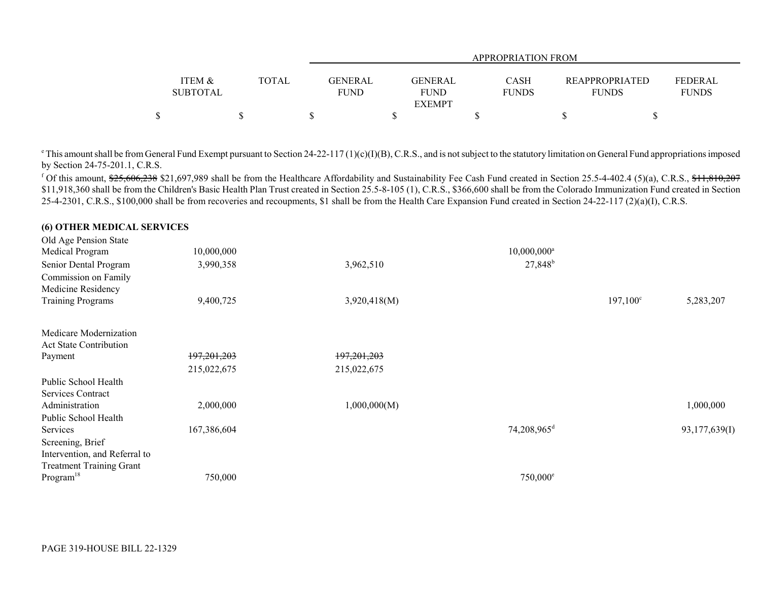|                   |       |             | APPROPRIATION FROM |              |                       |              |  |  |  |  |
|-------------------|-------|-------------|--------------------|--------------|-----------------------|--------------|--|--|--|--|
|                   |       |             |                    |              |                       |              |  |  |  |  |
| <b>ITEM &amp;</b> | TOTAL | GENERAL     | GENERAL            | <b>CASH</b>  | <b>REAPPROPRIATED</b> | FEDERAL      |  |  |  |  |
| <b>SUBTOTAL</b>   |       | <b>FUND</b> | <b>FUND</b>        | <b>FUNDS</b> | <b>FUNDS</b>          | <b>FUNDS</b> |  |  |  |  |
|                   |       |             | <b>EXEMPT</b>      |              |                       |              |  |  |  |  |
| Φ                 |       |             |                    |              |                       |              |  |  |  |  |

 $\degree$ This amount shall be from General Fund Exempt pursuant to Section 24-22-117 (1)(c)(I)(B), C.R.S., and is not subject to the statutory limitation on General Fund appropriations imposed by Section 24-75-201.1, C.R.S.

<sup>f</sup> Of this amount,  $25,606,238$  \$21,697,989 shall be from the Healthcare Affordability and Sustainability Fee Cash Fund created in Section 25.5-4-402.4 (5)(a), C.R.S., \$11,810,207 \$11,918,360 shall be from the Children's Basic Health Plan Trust created in Section 25.5-8-105 (1), C.R.S., \$366,600 shall be from the Colorado Immunization Fund created in Section 25-4-2301, C.R.S., \$100,000 shall be from recoveries and recoupments, \$1 shall be from the Health Care Expansion Fund created in Section 24-22-117 (2)(a)(I), C.R.S.

#### **(6) OTHER MEDICAL SERVICES**  $\overline{O}$ ld Age Pension  $\overline{O}$ t t

| Old Age Pension State           |             |              |                           |                   |               |
|---------------------------------|-------------|--------------|---------------------------|-------------------|---------------|
| Medical Program                 | 10,000,000  |              | $10,000,000$ <sup>a</sup> |                   |               |
| Senior Dental Program           | 3,990,358   | 3,962,510    | 27,848 <sup>b</sup>       |                   |               |
| Commission on Family            |             |              |                           |                   |               |
| Medicine Residency              |             |              |                           |                   |               |
| <b>Training Programs</b>        | 9,400,725   | 3,920,418(M) |                           | $197,100^{\circ}$ | 5,283,207     |
| Medicare Modernization          |             |              |                           |                   |               |
| <b>Act State Contribution</b>   |             |              |                           |                   |               |
| Payment                         | 197,201,203 | 197,201,203  |                           |                   |               |
|                                 | 215,022,675 | 215,022,675  |                           |                   |               |
| Public School Health            |             |              |                           |                   |               |
| Services Contract               |             |              |                           |                   |               |
| Administration                  | 2,000,000   | 1,000,000(M) |                           |                   | 1,000,000     |
| Public School Health            |             |              |                           |                   |               |
| Services                        | 167,386,604 |              | 74,208,965 <sup>d</sup>   |                   | 93,177,639(I) |
| Screening, Brief                |             |              |                           |                   |               |
| Intervention, and Referral to   |             |              |                           |                   |               |
| <b>Treatment Training Grant</b> |             |              |                           |                   |               |
| Program <sup>18</sup>           | 750,000     |              | $750,000$ <sup>e</sup>    |                   |               |
|                                 |             |              |                           |                   |               |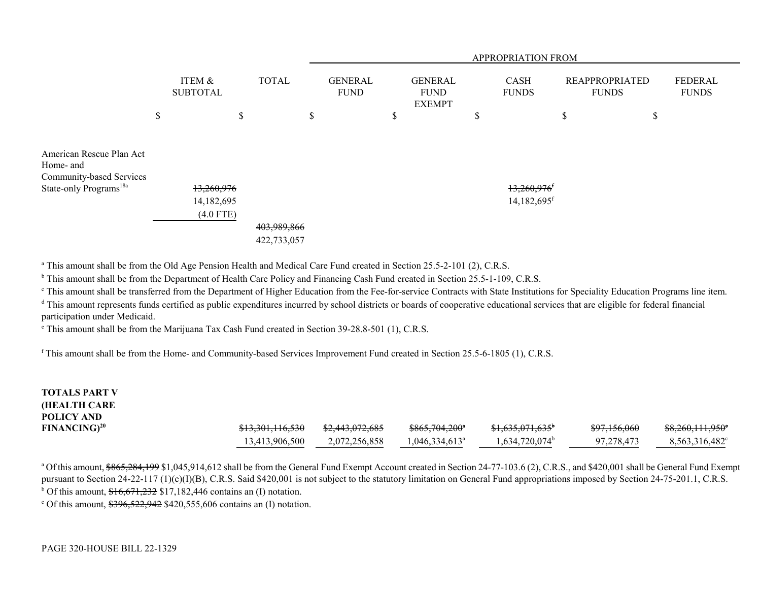|                                                                                                         |                                         |                            | APPROPRIATION FROM |                               |    |                                                |    |                                                        |    |                                       |                                |
|---------------------------------------------------------------------------------------------------------|-----------------------------------------|----------------------------|--------------------|-------------------------------|----|------------------------------------------------|----|--------------------------------------------------------|----|---------------------------------------|--------------------------------|
|                                                                                                         | ITEM &<br><b>SUBTOTAL</b>               | <b>TOTAL</b>               |                    | <b>GENERAL</b><br><b>FUND</b> |    | <b>GENERAL</b><br><b>FUND</b><br><b>EXEMPT</b> |    | <b>CASH</b><br><b>FUNDS</b>                            |    | <b>REAPPROPRIATED</b><br><b>FUNDS</b> | <b>FEDERAL</b><br><b>FUNDS</b> |
|                                                                                                         | \$<br>\$                                |                            | \$                 |                               | \$ |                                                | \$ |                                                        | \$ | \$                                    |                                |
| American Rescue Plan Act<br>Home- and<br>Community-based Services<br>State-only Programs <sup>18a</sup> | 13,260,976<br>14,182,695<br>$(4.0$ FTE) | 403,989,866<br>422,733,057 |                    |                               |    |                                                |    | $13,260,976$ <sup>f</sup><br>$14,182,695$ <sup>f</sup> |    |                                       |                                |

<sup>a</sup> This amount shall be from the Old Age Pension Health and Medical Care Fund created in Section 25.5-2-101 (2), C.R.S.

<sup>b</sup> This amount shall be from the Department of Health Care Policy and Financing Cash Fund created in Section 25.5-1-109, C.R.S.

<sup>c</sup> This amount shall be transferred from the Department of Higher Education from the Fee-for-service Contracts with State Institutions for Speciality Education Programs line item.

<sup>d</sup> This amount represents funds certified as public expenditures incurred by school districts or boards of cooperative educational services that are eligible for federal financial participation under Medicaid.

e This amount shall be from the Marijuana Tax Cash Fund created in Section 39-28.8-501 (1), C.R.S.

f This amount shall be from the Home- and Community-based Services Improvement Fund created in Section 25.5-6-1805 (1), C.R.S.

| <b>TOTALS PART V</b><br><b>(HEALTH CARE)</b> |                             |                            |                            |                               |                         |                               |
|----------------------------------------------|-----------------------------|----------------------------|----------------------------|-------------------------------|-------------------------|-------------------------------|
| POLICY AND                                   | <del>\$13,301,116,530</del> | <del>\$2,443,072,685</del> | \$865,704,200 <sup>*</sup> | $$1,635,071,635$ <sup>t</sup> | <del>\$97,156,060</del> | $$8,260,111,950$ <sup>*</sup> |
| $FINANCING)^{20}$                            | 13,413,906,500              | 2,072,256,858              | $0.046334.613^{\circ}$     | 534,720,074°، ا               | 97,278,473              | 8,563,316,482 <sup>c</sup>    |

<sup>a</sup> Of this amount, \$865,284,199 \$1,045,914,612 shall be from the General Fund Exempt Account created in Section 24-77-103.6 (2), C.R.S., and \$420,001 shall be General Fund Exempt pursuant to Section 24-22-117 (1)(c)(I)(B), C.R.S. Said \$420,001 is not subject to the statutory limitation on General Fund appropriations imposed by Section 24-75-201.1, C.R.S.  $b$  Of this amount,  $$16,671,232$  \$17,182,446 contains an (I) notation.

 $\degree$  Of this amount,  $\frac{$396,522,942}{$420,555,606}$  contains an (I) notation.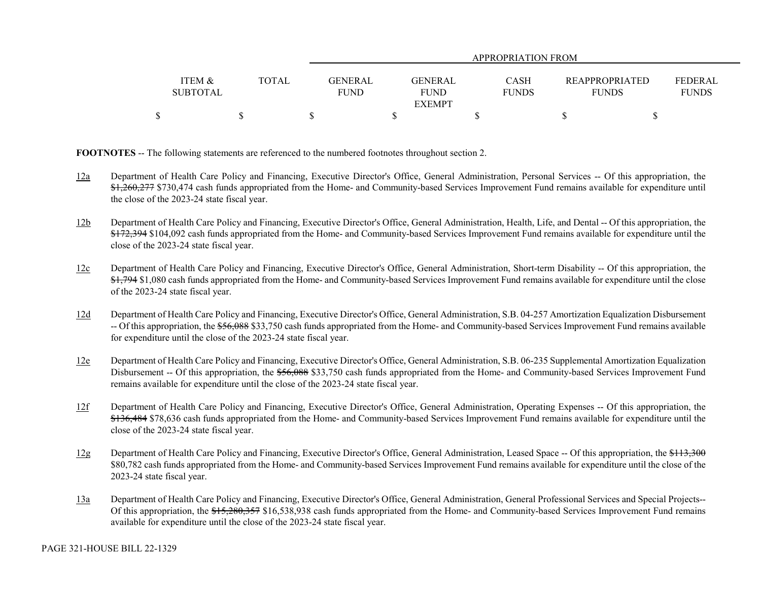|                                      |       | APPROPRIATION FROM                                             |                             |                                       |                                |  |  |  |  |
|--------------------------------------|-------|----------------------------------------------------------------|-----------------------------|---------------------------------------|--------------------------------|--|--|--|--|
| <b>ITEM &amp;</b><br><b>SUBTOTAL</b> | TOTAL | <b>GENERAL</b><br><b>GENERAL</b><br><b>FUND</b><br><b>FUND</b> | <b>CASH</b><br><b>FUNDS</b> | <b>REAPPROPRIATED</b><br><b>FUNDS</b> | <b>FEDERAL</b><br><b>FUNDS</b> |  |  |  |  |
| ¢                                    |       | <b>EXEMPT</b>                                                  |                             |                                       |                                |  |  |  |  |
|                                      |       |                                                                |                             |                                       |                                |  |  |  |  |

**FOOTNOTES** -- The following statements are referenced to the numbered footnotes throughout section 2.

- 12a Department of Health Care Policy and Financing, Executive Director's Office, General Administration, Personal Services -- Of this appropriation, the \$1,260,277 \$730,474 cash funds appropriated from the Home- and Community-based Services Improvement Fund remains available for expenditure until the close of the 2023-24 state fiscal year.
- 12b Department of Health Care Policy and Financing, Executive Director's Office, General Administration, Health, Life, and Dental -- Of this appropriation, the \$172,394 \$104,092 cash funds appropriated from the Home- and Community-based Services Improvement Fund remains available for expenditure until the close of the 2023-24 state fiscal year.
- 12c Department of Health Care Policy and Financing, Executive Director's Office, General Administration, Short-term Disability -- Of this appropriation, the \$1,794 \$1,080 cash funds appropriated from the Home- and Community-based Services Improvement Fund remains available for expenditure until the close of the 2023-24 state fiscal year.
- 12d Department of Health Care Policy and Financing, Executive Director's Office, General Administration, S.B. 04-257 Amortization Equalization Disbursement -- Of this appropriation, the \$56,088 \$33,750 cash funds appropriated from the Home- and Community-based Services Improvement Fund remains available for expenditure until the close of the 2023-24 state fiscal year.
- 12e Department of Health Care Policy and Financing, Executive Director's Office, General Administration, S.B. 06-235 Supplemental Amortization Equalization Disbursement -- Of this appropriation, the \$56,088 \$33,750 cash funds appropriated from the Home- and Community-based Services Improvement Fund remains available for expenditure until the close of the 2023-24 state fiscal year.
- 12f Department of Health Care Policy and Financing, Executive Director's Office, General Administration, Operating Expenses -- Of this appropriation, the \$136,484 \$78,636 cash funds appropriated from the Home- and Community-based Services Improvement Fund remains available for expenditure until the close of the 2023-24 state fiscal year.
- 12g Department of Health Care Policy and Financing, Executive Director's Office, General Administration, Leased Space -- Of this appropriation, the \$113,300 \$80,782 cash funds appropriated from the Home- and Community-based Services Improvement Fund remains available for expenditure until the close of the 2023-24 state fiscal year.
- 13a Department of Health Care Policy and Financing, Executive Director's Office, General Administration, General Professional Services and Special Projects-- Of this appropriation, the \$15,280,357 \$16,538,938 cash funds appropriated from the Home- and Community-based Services Improvement Fund remains available for expenditure until the close of the 2023-24 state fiscal year.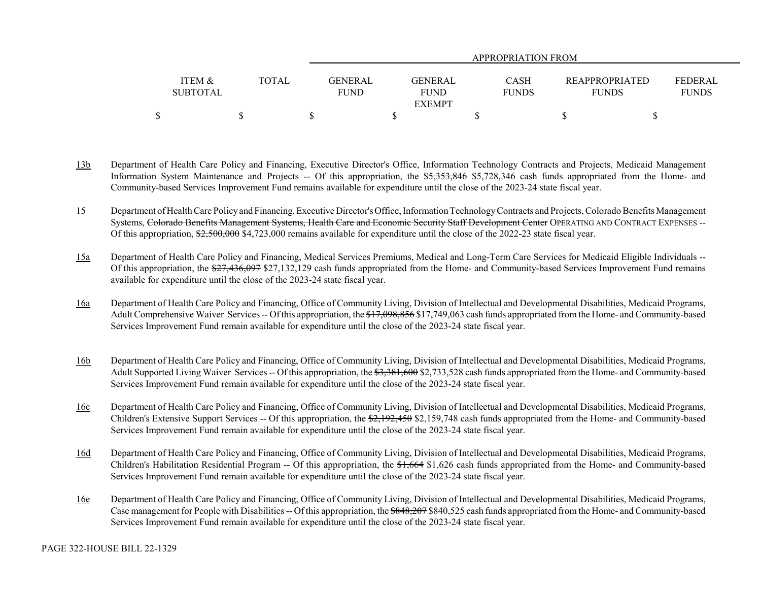|                   |       | APPROPRIATION FROM |                              |              |                       |                |  |  |  |
|-------------------|-------|--------------------|------------------------------|--------------|-----------------------|----------------|--|--|--|
| <b>ITEM &amp;</b> | TOTAL | <b>GENERAL</b>     | <b>GENERAL</b>               | <b>CASH</b>  | <b>REAPPROPRIATED</b> | <b>FEDERAL</b> |  |  |  |
| <b>SUBTOTAL</b>   |       | <b>FUND</b>        | <b>FUND</b><br><b>EXEMPT</b> | <b>FUNDS</b> | <b>FUNDS</b>          | <b>FUNDS</b>   |  |  |  |
|                   |       |                    |                              |              |                       |                |  |  |  |

- 13b Department of Health Care Policy and Financing, Executive Director's Office, Information Technology Contracts and Projects, Medicaid Management Information System Maintenance and Projects -- Of this appropriation, the \$5,353,846 \$5,728,346 cash funds appropriated from the Home- and Community-based Services Improvement Fund remains available for expenditure until the close of the 2023-24 state fiscal year.
- 15 Department of Health Care Policy and Financing, Executive Director's Office, Information Technology Contracts and Projects, Colorado Benefits Management Systems, Colorado Benefits Management Systems, Health Care and Economic Security Staff Development Center OPERATING AND CONTRACT EXPENSES --Of this appropriation,  $\frac{62,500,000}{2}$ ,  $\frac{84,723,000}{2}$  remains available for expenditure until the close of the 2022-23 state fiscal year.
- 15a Department of Health Care Policy and Financing, Medical Services Premiums, Medical and Long-Term Care Services for Medicaid Eligible Individuals -- Of this appropriation, the \$27,436,097 \$27,132,129 cash funds appropriated from the Home- and Community-based Services Improvement Fund remains available for expenditure until the close of the 2023-24 state fiscal year.
- 16a Department of Health Care Policy and Financing, Office of Community Living, Division of Intellectual and Developmental Disabilities, Medicaid Programs, Adult Comprehensive Waiver Services -- Of this appropriation, the \$17,098,856 \$17,749,063 cash funds appropriated from the Home- and Community-based Services Improvement Fund remain available for expenditure until the close of the 2023-24 state fiscal year.
- 16b Department of Health Care Policy and Financing, Office of Community Living, Division of Intellectual and Developmental Disabilities, Medicaid Programs, Adult Supported Living Waiver Services -- Of this appropriation, the \$3,381,600 \$2,733,528 cash funds appropriated from the Home- and Community-based Services Improvement Fund remain available for expenditure until the close of the 2023-24 state fiscal year.
- 16c Department of Health Care Policy and Financing, Office of Community Living, Division of Intellectual and Developmental Disabilities, Medicaid Programs, Children's Extensive Support Services -- Of this appropriation, the \$2,192,450 \$2,159,748 cash funds appropriated from the Home- and Community-based Services Improvement Fund remain available for expenditure until the close of the 2023-24 state fiscal year.
- 16d Department of Health Care Policy and Financing, Office of Community Living, Division of Intellectual and Developmental Disabilities, Medicaid Programs, Children's Habilitation Residential Program -- Of this appropriation, the \$1,664 \$1,626 cash funds appropriated from the Home- and Community-based Services Improvement Fund remain available for expenditure until the close of the 2023-24 state fiscal year.
- 16e Department of Health Care Policy and Financing, Office of Community Living, Division of Intellectual and Developmental Disabilities, Medicaid Programs, Case management for People with Disabilities -- Of this appropriation, the \$848,207 \$840,525 cash funds appropriated from the Home- and Community-based Services Improvement Fund remain available for expenditure until the close of the 2023-24 state fiscal year.